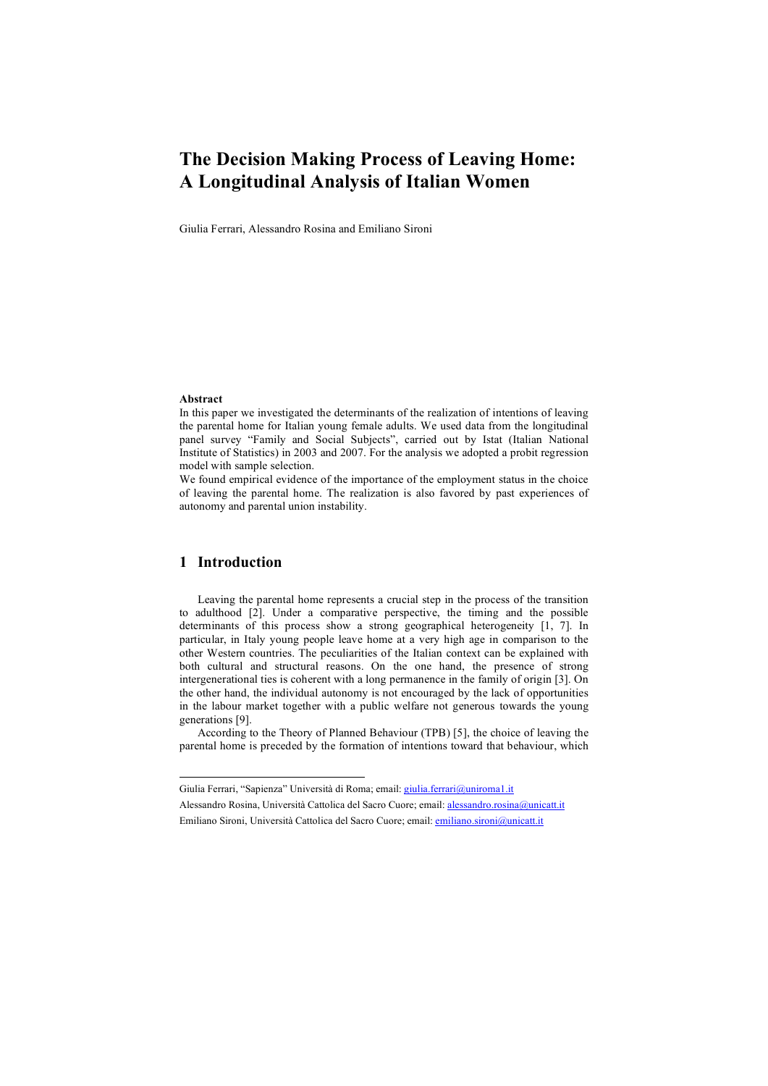# **The Decision Making Process of Leaving Home: A Longitudinal Analysis of Italian Women**

Giulia Ferrari, Alessandro Rosina and Emiliano Sironi

#### **Abstract**

In this paper we investigated the determinants of the realization of intentions of leaving the parental home for Italian young female adults. We used data from the longitudinal panel survey "Family and Social Subjects", carried out by Istat (Italian National Institute of Statistics) in 2003 and 2007. For the analysis we adopted a probit regression model with sample selection.

We found empirical evidence of the importance of the employment status in the choice of leaving the parental home. The realization is also favored by past experiences of autonomy and parental union instability.

## **1 Introduction**

Leaving the parental home represents a crucial step in the process of the transition to adulthood [2]. Under a comparative perspective, the timing and the possible determinants of this process show a strong geographical heterogeneity [1, 7]. In particular, in Italy young people leave home at a very high age in comparison to the other Western countries. The peculiarities of the Italian context can be explained with both cultural and structural reasons. On the one hand, the presence of strong intergenerational ties is coherent with a long permanence in the family of origin [3]. On the other hand, the individual autonomy is not encouraged by the lack of opportunities in the labour market together with a public welfare not generous towards the young generations [9].

According to the Theory of Planned Behaviour (TPB) [5], the choice of leaving the parental home is preceded by the formation of intentions toward that behaviour, which

Giulia Ferrari, "Sapienza" Università di Roma; email: giulia.ferrari@uniroma1.it

Alessandro Rosina, Università Cattolica del Sacro Cuore; email: alessandro.rosina@unicatt.it Emiliano Sironi, Università Cattolica del Sacro Cuore; email: emiliano.sironi@unicatt.it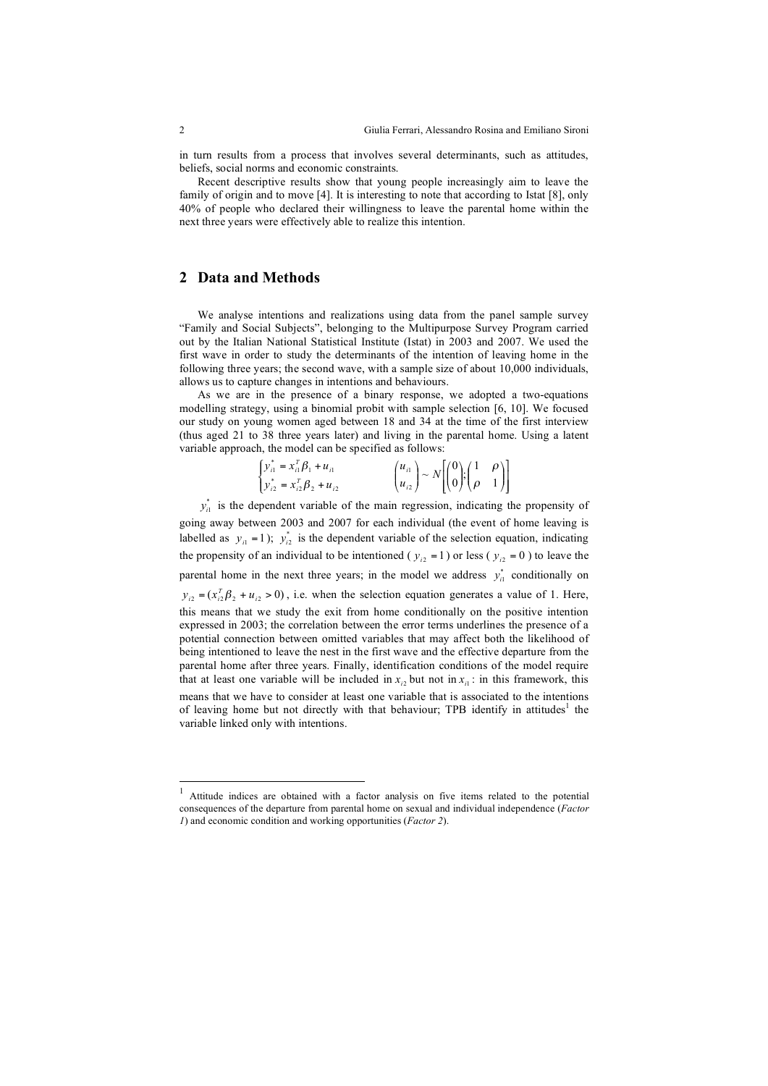in turn results from a process that involves several determinants, such as attitudes, beliefs, social norms and economic constraints.

Recent descriptive results show that young people increasingly aim to leave the family of origin and to move [4]. It is interesting to note that according to Istat [8], only 40% of people who declared their willingness to leave the parental home within the next three years were effectively able to realize this intention.

### **2 Data and Methods**

We analyse intentions and realizations using data from the panel sample survey "Family and Social Subjects", belonging to the Multipurpose Survey Program carried out by the Italian National Statistical Institute (Istat) in 2003 and 2007. We used the first wave in order to study the determinants of the intention of leaving home in the following three years; the second wave, with a sample size of about 10,000 individuals, allows us to capture changes in intentions and behaviours.

As we are in the presence of a binary response, we adopted a two-equations modelling strategy, using a binomial probit with sample selection [6, 10]. We focused our study on young women aged between 18 and 34 at the time of the first interview (thus aged 21 to 38 three years later) and living in the parental home. Using a latent variable approach, the model can be specified as follows:

| $\begin{cases} y_{i1}^* = x_{i1}^T \beta_1 + u_{i1} \\ y_{i2}^* = x_{i2}^T \beta_2 + u_{i2} \end{cases}$ | $\begin{pmatrix} u_{i1} \\ u_{i2} \end{pmatrix} \sim N \left[ \begin{pmatrix} 0 \\ 0 \end{pmatrix}; \begin{pmatrix} 1 & \rho \\ \rho & 1 \end{pmatrix} \right]$ |  |
|----------------------------------------------------------------------------------------------------------|-----------------------------------------------------------------------------------------------------------------------------------------------------------------|--|

 $y_{i1}^*$  is the dependent variable of the main regression, indicating the propensity of going away between 2003 and 2007 for each individual (the event of home leaving is labelled as  $y_{i1} = 1$ );  $y_{i2}^*$  is the dependent variable of the selection equation, indicating the propensity of an individual to be intentioned ( $y_{i2} = 1$ ) or less ( $y_{i2} = 0$ ) to leave the parental home in the next three years; in the model we address  $y_{i1}^*$  conditionally on  $y_{i2} = (x_{i2}^T \beta_2 + u_{i2} > 0)$ , i.e. when the selection equation generates a value of 1. Here, this means that we study the exit from home conditionally on the positive intention expressed in 2003; the correlation between the error terms underlines the presence of a potential connection between omitted variables that may affect both the likelihood of being intentioned to leave the nest in the first wave and the effective departure from the parental home after three years. Finally, identification conditions of the model require that at least one variable will be included in  $x_i$  but not in  $x_i$  : in this framework, this means that we have to consider at least one variable that is associated to the intentions of leaving home but not directly with that behaviour; TPB identify in attitudes<sup>1</sup> the variable linked only with intentions.

<sup>&</sup>lt;sup>1</sup> Attitude indices are obtained with a factor analysis on five items related to the potential consequences of the departure from parental home on sexual and individual independence (*Factor 1*) and economic condition and working opportunities (*Factor 2*).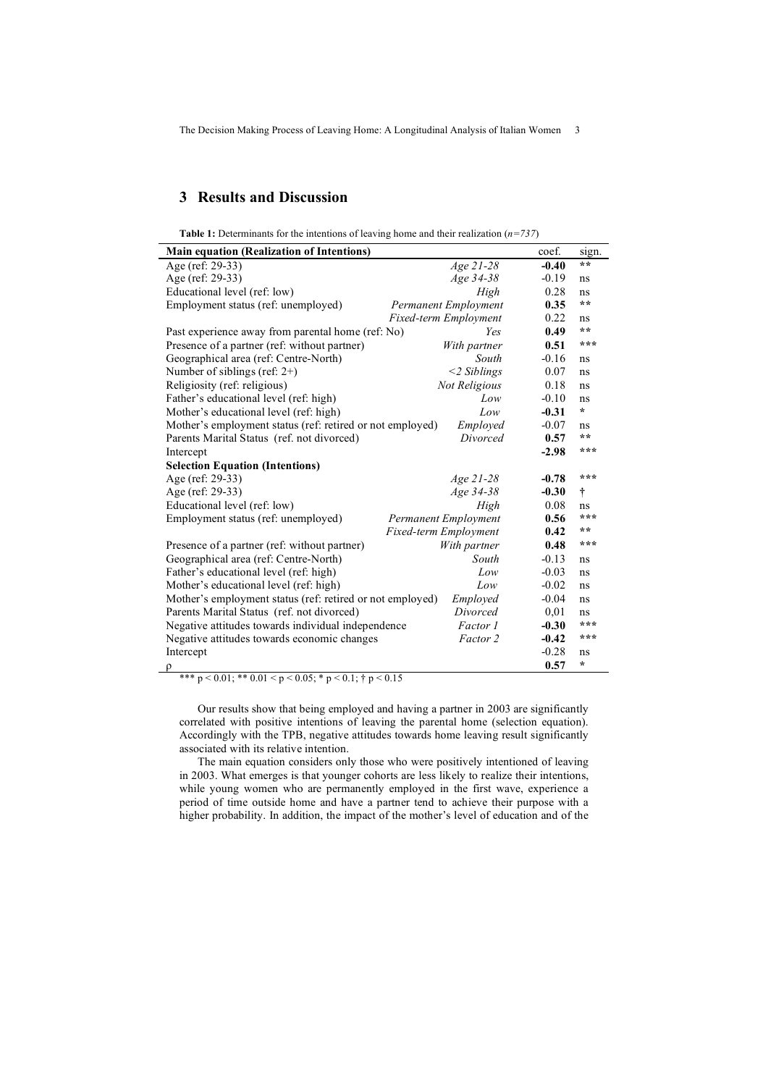The Decision Making Process of Leaving Home: A Longitudinal Analysis of Italian Women 3

## **3 Results and Discussion**

| <b>Main equation (Realization of Intentions)</b>          |                       | coef.   | sign.   |
|-----------------------------------------------------------|-----------------------|---------|---------|
| Age (ref: 29-33)                                          | Age 21-28             | $-0.40$ | $* *$   |
| Age (ref: 29-33)                                          | Age 34-38             | $-0.19$ | ns      |
| Educational level (ref: low)                              | High                  | 0.28    | ns      |
| Employment status (ref: unemployed)                       | Permanent Employment  | 0.35    | $* *$   |
|                                                           | Fixed-term Employment |         | ns      |
| Past experience away from parental home (ref: No)         | Yes                   |         | $* *$   |
| Presence of a partner (ref: without partner)              | With partner          | 0.51    | ***     |
| Geographical area (ref: Centre-North)                     | South                 | $-0.16$ | ns      |
| Number of siblings (ref: $2+$ )                           | $<$ 2 Siblings        | 0.07    | ns      |
| Religiosity (ref: religious)                              | Not Religious         | 0.18    | ns      |
| Father's educational level (ref: high)                    | Low                   | $-0.10$ | ns      |
| Mother's educational level (ref: high)                    | Low                   | $-0.31$ | $\star$ |
| Mother's employment status (ref: retired or not employed) | Employed              | $-0.07$ | ns      |
| Parents Marital Status (ref. not divorced)                | Divorced              | 0.57    | **      |
| Intercept                                                 |                       | $-2.98$ | ***     |
| <b>Selection Equation (Intentions)</b>                    |                       |         |         |
| Age (ref: 29-33)                                          | Age 21-28             | $-0.78$ | ***     |
| Age (ref: 29-33)                                          | Age 34-38             | $-0.30$ | Ť       |
| Educational level (ref: low)                              | High                  | 0.08    | ns      |
| Employment status (ref: unemployed)                       | Permanent Employment  |         | ***     |
|                                                           | Fixed-term Employment | 0.42    | **      |
| Presence of a partner (ref: without partner)              | With partner          | 0.48    | ***     |
| Geographical area (ref: Centre-North)                     | South                 | $-0.13$ | ns      |
| Father's educational level (ref: high)                    | Low                   | $-0.03$ | ns      |
| Mother's educational level (ref: high)                    | Low                   | $-0.02$ | ns      |
| Mother's employment status (ref: retired or not employed) | Employed              | $-0.04$ | ns      |
| Parents Marital Status (ref. not divorced)                | Divorced              | 0,01    | ns      |
| Negative attitudes towards individual independence        | Factor 1              | $-0.30$ | ***     |
| Negative attitudes towards economic changes               | Factor 2              | $-0.42$ | ***     |
| Intercept                                                 |                       | $-0.28$ | ns      |
| ρ                                                         |                       | 0.57    | ÷       |

\*\*\* p < 0.01; \*\* 0.01 < p < 0.05; \* p < 0.1; † p < 0.15

Our results show that being employed and having a partner in 2003 are significantly correlated with positive intentions of leaving the parental home (selection equation). Accordingly with the TPB, negative attitudes towards home leaving result significantly associated with its relative intention.

The main equation considers only those who were positively intentioned of leaving in 2003. What emerges is that younger cohorts are less likely to realize their intentions, while young women who are permanently employed in the first wave, experience a period of time outside home and have a partner tend to achieve their purpose with a higher probability. In addition, the impact of the mother's level of education and of the